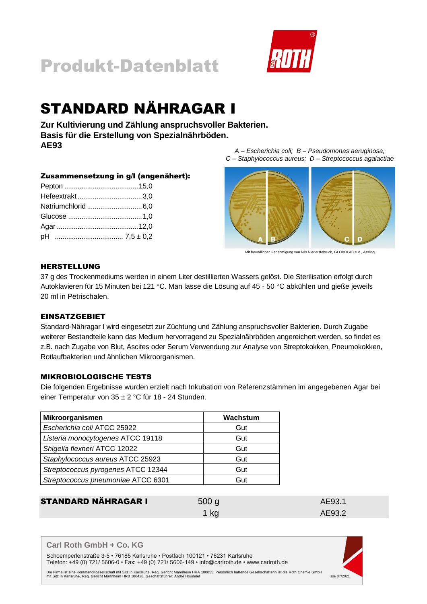



# STANDARD NÄHRAGAR I

**Zur Kultivierung und Zählung anspruchsvoller Bakterien. Basis für die Erstellung von Spezialnährböden. AE93**

### Zusammensetzung in g/l (angenähert):

*A – Escherichia coli; B – Pseudomonas aeruginosa; C – Staphylococcus aureus; D – Streptococcus agalactiae*



Mit freundlicher Genehmigung von Nils Niederstebruch, GLOBOLAB e.V., Assling

# HERSTELLUNG

37 g des Trockenmediums werden in einem Liter destillierten Wassers gelöst. Die Sterilisation erfolgt durch Autoklavieren für 15 Minuten bei 121 °C. Man lasse die Lösung auf 45 - 50 °C abkühlen und gieße jeweils 20 ml in Petrischalen.

### **EINSATZGEBIET**

Standard-Nähragar I wird eingesetzt zur Züchtung und Zählung anspruchsvoller Bakterien. Durch Zugabe weiterer Bestandteile kann das Medium hervorragend zu Spezialnährböden angereichert werden, so findet es z.B. nach Zugabe von Blut, Ascites oder Serum Verwendung zur Analyse von Streptokokken, Pneumokokken, Rotlaufbakterien und ähnlichen Mikroorganismen.

### MIKROBIOLOGISCHE TESTS

Die folgenden Ergebnisse wurden erzielt nach Inkubation von Referenzstämmen im angegebenen Agar bei einer Temperatur von 35 ± 2 °C für 18 - 24 Stunden.

| Mikroorganismen                    | Wachstum |
|------------------------------------|----------|
| Escherichia coli ATCC 25922        | Gut      |
| Listeria monocytogenes ATCC 19118  | Gut      |
| Shigella flexneri ATCC 12022       | Gut      |
| Staphylococcus aureus ATCC 25923   | Gut      |
| Streptococcus pyrogenes ATCC 12344 | Gut      |
| Streptococcus pneumoniae ATCC 6301 | Gut      |

STANDARD NÄHRAGAR I 500 g AE93.1 1 kg AE93.2

### **Carl Roth GmbH + Co. KG**

Schoemperlenstraße 3-5 • 76185 Karlsruhe • Postfach 100121 • 76231 Karlsruhe Telefon: +49 (0) 721/ 5606-0 • Fax: +49 (0) 721/ 5606-149 • info@carlroth.de • www.carlroth.de

Die Firma ist eine Kommanditgesellschaft mit Sitz in Karlsruhe, Reg. Gericht Mannheim HRA 100055. Persönlich haftende Gesells chafterin ist die Roth Chemie GmbH<br>1902- sse 07/2021 mit Sitz in Karlsruhe, Gericht Mannheim HRB